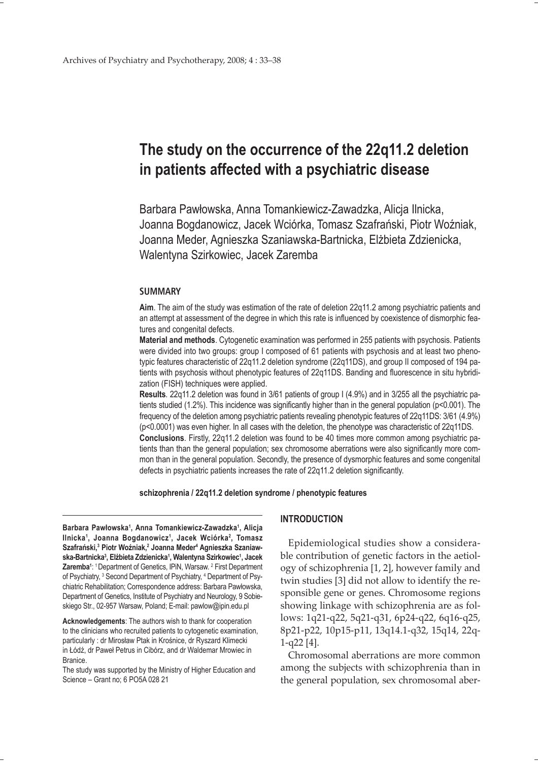# **The study on the occurrence of the 22q11.2 deletion in patients affected with a psychiatric disease**

Barbara Pawłowska, Anna Tomankiewicz-Zawadzka, Alicja Ilnicka, Joanna Bogdanowicz, Jacek Wciórka, Tomasz Szafrański, Piotr Woźniak, Joanna Meder, Agnieszka Szaniawska-Bartnicka, Elżbieta Zdzienicka, Walentyna Szirkowiec, Jacek Zaremba

## **SUMMARY**

**Aim**. The aim of the study was estimation of the rate of deletion 22q11.2 among psychiatric patients and an attempt at assessment of the degree in which this rate is influenced by coexistence of dismorphic features and congenital defects.

**Material and methods**. Cytogenetic examination was performed in 255 patients with psychosis. Patients were divided into two groups: group I composed of 61 patients with psychosis and at least two phenotypic features characteristic of 22q11.2 deletion syndrome (22q11DS), and group II composed of 194 patients with psychosis without phenotypic features of 22q11DS. Banding and fluorescence in situ hybridization (FISH) techniques were applied.

**Results**. 22q11.2 deletion was found in 3/61 patients of group I (4.9%) and in 3/255 all the psychiatric patients studied (1.2%). This incidence was significantly higher than in the general population (p<0.001). The frequency of the deletion among psychiatric patients revealing phenotypic features of 22q11DS: 3/61 (4.9%) (p<0.0001) was even higher. In all cases with the deletion, the phenotype was characteristic of 22q11DS. **Conclusions**. Firstly, 22q11.2 deletion was found to be 40 times more common among psychiatric pa-

tients than than the general population; sex chromosome aberrations were also significantly more common than in the general population. Secondly, the presence of dysmorphic features and some congenital defects in psychiatric patients increases the rate of 22q11.2 deletion significantly.

**schizophrenia / 22q11.2 deletion syndrome / phenotypic features**

**Barbara Pawłowska1 , Anna Tomankiewicz-Zawadzka1 , Alicja**  Ilnicka<sup>1</sup>, Joanna Bogdanowicz<sup>1</sup>, Jacek Wciórka<sup>2</sup>, Tomasz **Szafrański,3 Piotr Woźniak,2 Joanna Meder4 Agnieszka Szaniawska-Bartnicka3 , Elżbieta Zdzienicka1 , Walentyna Szirkowiec1 , Jacek**  Zaremba<sup>1</sup>: <sup>1</sup> Department of Genetics, IPiN, Warsaw. <sup>2</sup> First Department of Psychiatry, <sup>3</sup> Second Department of Psychiatry, <sup>4</sup> Department of Psychiatric Rehabilitation; Correspondence address: Barbara Pawłowska, Department of Genetics, Institute of Psychiatry and Neurology, 9 Sobieskiego Str., 02-957 Warsaw, Poland; E-mail: pawlow@ipin.edu.pl

**Acknowledgements**: The authors wish to thank for cooperation to the clinicians who recruited patients to cytogenetic examination, particularly : dr Mirosław Ptak in Krośnice, dr Ryszard Klimecki in Łódź, dr Paweł Petrus in Cibórz, and dr Waldemar Mrowiec in Branice.

The study was supported by the Ministry of Higher Education and Science – Grant no; 6 PO5A 028 21

## **INTRODUCTION**

Epidemiological studies show a considerable contribution of genetic factors in the aetiology of schizophrenia [1, 2], however family and twin studies [3] did not allow to identify the responsible gene or genes. Chromosome regions showing linkage with schizophrenia are as follows: 1q21-q22, 5q21-q31, 6p24-q22, 6q16-q25, 8p21-p22, 10p15-p11, 13q14.1-q32, 15q14, 22q-1-q22 [4].

Chromosomal aberrations are more common among the subjects with schizophrenia than in the general population, sex chromosomal aber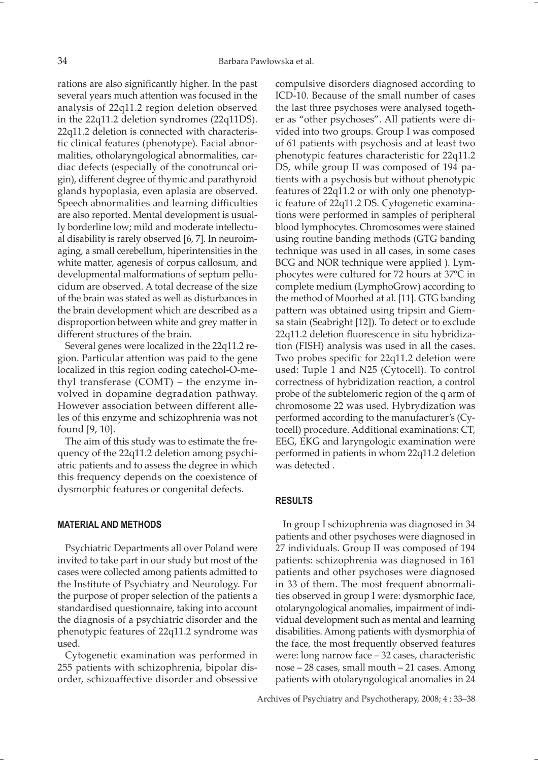rations are also significantly higher. In the past several years much attention was focused in the analysis of 22q11.2 region deletion observed in the 22q11.2 deletion syndromes (22q11DS). 22q11.2 deletion is connected with characteristic clinical features (phenotype). Facial abnormalities, otholaryngological abnormalities, cardiac defects (especially of the conotruncal origin), different degree of thymic and parathyroid glands hypoplasia, even aplasia are observed. Speech abnormalities and learning difficulties are also reported. Mental development is usually borderline low; mild and moderate intellectual disability is rarely observed [6, 7]. In neuroimaging, a small cerebellum, hiperintensities in the white matter, agenesis of corpus callosum, and developmental malformations of septum pellucidum are observed. A total decrease of the size of the brain was stated as well as disturbances in the brain development which are described as a disproportion between white and grey matter in different structures of the brain.

Several genes were localized in the 22q11.2 region. Particular attention was paid to the gene localized in this region coding catechol-O-methyl transferase (COMT) – the enzyme involved in dopamine degradation pathway. However association between different alleles of this enzyme and schizophrenia was not found [9, 10].

The aim of this study was to estimate the frequency of the 22q11.2 deletion among psychiatric patients and to assess the degree in which this frequency depends on the coexistence of dysmorphic features or congenital defects.

# **MATERIAL AND METHODS**

Psychiatric Departments all over Poland were invited to take part in our study but most of the cases were collected among patients admitted to the Institute of Psychiatry and Neurology. For the purpose of proper selection of the patients a standardised questionnaire, taking into account the diagnosis of a psychiatric disorder and the phenotypic features of 22q11.2 syndrome was used.

Cytogenetic examination was performed in 255 patients with schizophrenia, bipolar disorder, schizoaffective disorder and obsessive compulsive disorders diagnosed according to ICD-10. Because of the small number of cases the last three psychoses were analysed together as "other psychoses". All patients were divided into two groups. Group I was composed of 61 patients with psychosis and at least two phenotypic features characteristic for 22q11.2 DS, while group II was composed of 194 patients with a psychosis but without phenotypic features of 22q11.2 or with only one phenotypic feature of 22q11.2 DS. Cytogenetic examinations were performed in samples of peripheral blood lymphocytes. Chromosomes were stained using routine banding methods (GTG banding technique was used in all cases, in some cases BCG and NOR technique were applied ). Lymphocytes were cultured for 72 hours at 37ºC in complete medium (LymphoGrow) according to the method of Moorhed at al. [11]. GTG banding pattern was obtained using tripsin and Giemsa stain (Seabright [12]). To detect or to exclude 22q11.2 deletion fluorescence in situ hybridization (FISH) analysis was used in all the cases. Two probes specific for 22q11.2 deletion were used: Tuple 1 and N25 (Cytocell). To control correctness of hybridization reaction, a control probe of the subtelomeric region of the q arm of chromosome 22 was used. Hybrydization was performed according to the manufacturer's (Cytocell) procedure. Additional examinations: CT, EEG, EKG and laryngologic examination were performed in patients in whom 22q11.2 deletion was detected .

## **RESULTS**

In group I schizophrenia was diagnosed in 34 patients and other psychoses were diagnosed in 27 individuals. Group II was composed of 194 patients: schizophrenia was diagnosed in 161 patients and other psychoses were diagnosed in 33 of them. The most frequent abnormalities observed in group I were: dysmorphic face, otolaryngological anomalies, impairment of individual development such as mental and learning disabilities. Among patients with dysmorphia of the face, the most frequently observed features were: long narrow face – 32 cases, characteristic nose – 28 cases, small mouth – 21 cases. Among patients with otolaryngological anomalies in 24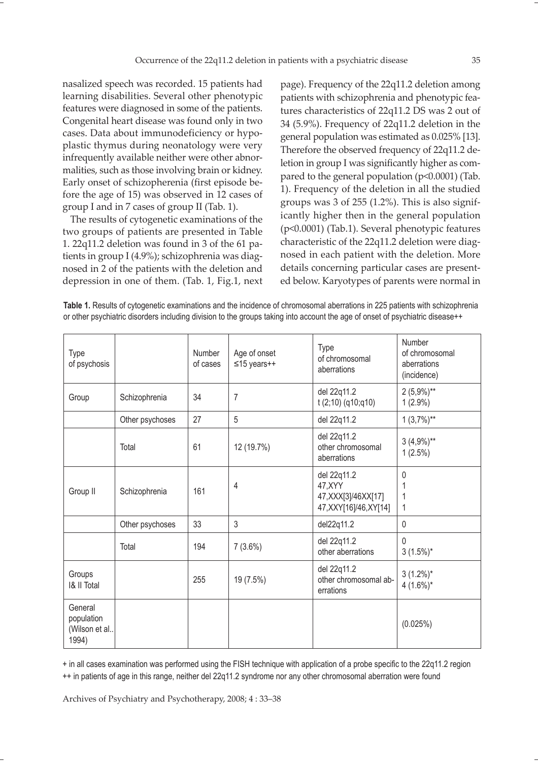nasalized speech was recorded. 15 patients had learning disabilities. Several other phenotypic features were diagnosed in some of the patients. Congenital heart disease was found only in two cases. Data about immunodeficiency or hypoplastic thymus during neonatology were very infrequently available neither were other abnormalities, such as those involving brain or kidney. Early onset of schizopherenia (first episode before the age of 15) was observed in 12 cases of group I and in 7 cases of group II (Tab. 1).

The results of cytogenetic examinations of the two groups of patients are presented in Table 1. 22q11.2 deletion was found in 3 of the 61 patients in group I (4.9%); schizophrenia was diagnosed in 2 of the patients with the deletion and depression in one of them. (Tab. 1, Fig.1, next

page). Frequency of the 22q11.2 deletion among patients with schizophrenia and phenotypic features characteristics of 22q11.2 DS was 2 out of 34 (5.9%). Frequency of 22q11.2 deletion in the general population was estimated as 0.025% [13]. Therefore the observed frequency of 22q11.2 deletion in group I was significantly higher as compared to the general population (p<0.0001) (Tab. 1). Frequency of the deletion in all the studied groups was 3 of 255 (1.2%). This is also significantly higher then in the general population (p<0.0001) (Tab.1). Several phenotypic features characteristic of the 22q11.2 deletion were diagnosed in each patient with the deletion. More details concerning particular cases are presented below. Karyotypes of parents were normal in

**Table 1.** Results of cytogenetic examinations and the incidence of chromosomal aberrations in 225 patients with schizophrenia or other psychiatric disorders including division to the groups taking into account the age of onset of psychiatric disease++

| <b>Type</b><br>of psychosis                     |                 | Number<br>of cases | Age of onset<br>$≤15$ years++ | Type<br>of chromosomal<br>aberrations                                       | Number<br>of chromosomal<br>aberrations<br>(incidence) |
|-------------------------------------------------|-----------------|--------------------|-------------------------------|-----------------------------------------------------------------------------|--------------------------------------------------------|
| Group                                           | Schizophrenia   | 34                 | 7                             | del 22q11.2<br>$t(2;10)$ (q10;q10)                                          | $2(5,9\%)**$<br>$1(2.9\%)$                             |
|                                                 | Other psychoses | 27                 | 5                             | del 22q11.2                                                                 | $1(3,7\%)**$                                           |
|                                                 | Total           | 61                 | 12 (19.7%)                    | del 22q11.2<br>other chromosomal<br>aberrations                             | $3(4,9\%)**$<br>$1(2.5\%)$                             |
| Group II                                        | Schizophrenia   | 161                | 4                             | del 22q11.2<br>47, XYY<br>47, XXX[3]/46XX[17]<br>47, XXY [16] / 46, XY [14] | 0<br>1                                                 |
|                                                 | Other psychoses | 33                 | $\mathfrak{Z}$                | del22q11.2                                                                  | 0                                                      |
|                                                 | Total           | 194                | $7(3.6\%)$                    | del 22q11.2<br>other aberrations                                            | $\mathbf{0}$<br>$3(1.5\%)^*$                           |
| Groups<br><b>1&amp; II Total</b>                |                 | 255                | 19 (7.5%)                     | del 22q11.2<br>other chromosomal ab-<br>errations                           | $3(1.2\%)^*$<br>$4(1.6\%)*$                            |
| General<br>population<br>(Wilson et al<br>1994) |                 |                    |                               |                                                                             | (0.025%)                                               |

+ in all cases examination was performed using the FISH technique with application of a probe specific to the 22q11.2 region ++ in patients of age in this range, neither del 22q11.2 syndrome nor any other chromosomal aberration were found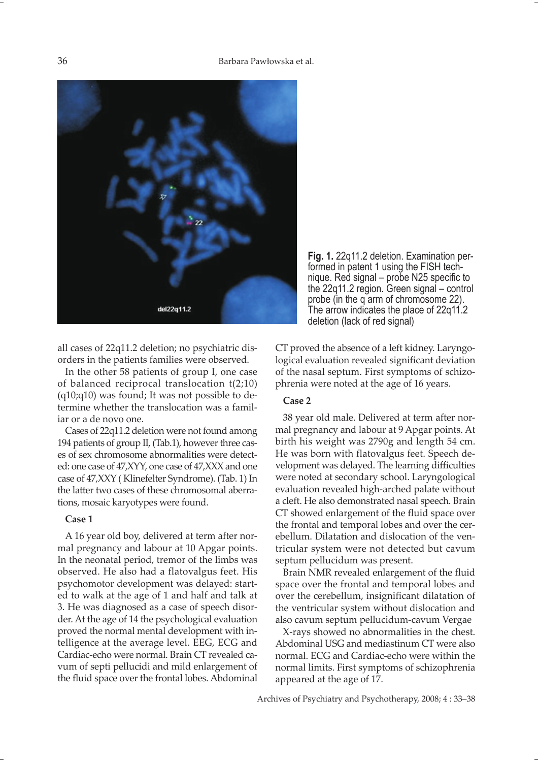

all cases of 22q11.2 deletion; no psychiatric disorders in the patients families were observed.

In the other 58 patients of group I, one case of balanced reciprocal translocation t(2;10)  $(q10;q10)$  was found; It was not possible to determine whether the translocation was a familiar or a de novo one.

Cases of 22q11.2 deletion were not found among 194 patients of group II, (Tab.1), however three cases of sex chromosome abnormalities were detected: one case of 47,XYY, one case of 47,XXX and one case of 47,XXY ( Klinefelter Syndrome). (Tab. 1) In the latter two cases of these chromosomal aberrations, mosaic karyotypes were found.

## **Case 1**

A 16 year old boy, delivered at term after normal pregnancy and labour at 10 Apgar points. In the neonatal period, tremor of the limbs was observed. He also had a flatovalgus feet. His psychomotor development was delayed: started to walk at the age of 1 and half and talk at 3. He was diagnosed as a case of speech disorder. At the age of 14 the psychological evaluation proved the normal mental development with intelligence at the average level. EEG, ECG and Cardiac-echo were normal. Brain CT revealed cavum of septi pellucidi and mild enlargement of the fluid space over the frontal lobes. Abdominal

**Fig. 1.** 22q11.2 deletion. Examination performed in patent 1 using the FISH technique. Red signal – probe N25 specific to the 22q11.2 region. Green signal – control probe (in the q arm of chromosome 22). The arrow indicates the place of 22q11.2 deletion (lack of red signal)

CT proved the absence of a left kidney. Laryngological evaluation revealed significant deviation of the nasal septum. First symptoms of schizophrenia were noted at the age of 16 years.

# **Case 2**

38 year old male. Delivered at term after normal pregnancy and labour at 9 Apgar points. At birth his weight was 2790g and length 54 cm. He was born with flatovalgus feet. Speech development was delayed. The learning difficulties were noted at secondary school. Laryngological evaluation revealed high-arched palate without a cleft. He also demonstrated nasal speech. Brain CT showed enlargement of the fluid space over the frontal and temporal lobes and over the cerebellum. Dilatation and dislocation of the ventricular system were not detected but cavum septum pellucidum was present.

Brain NMR revealed enlargement of the fluid space over the frontal and temporal lobes and over the cerebellum, insignificant dilatation of the ventricular system without dislocation and also cavum septum pellucidum-cavum Vergae

X-rays showed no abnormalities in the chest. Abdominal USG and mediastinum CT were also normal. ECG and Cardiac-echo were within the normal limits. First symptoms of schizophrenia appeared at the age of 17.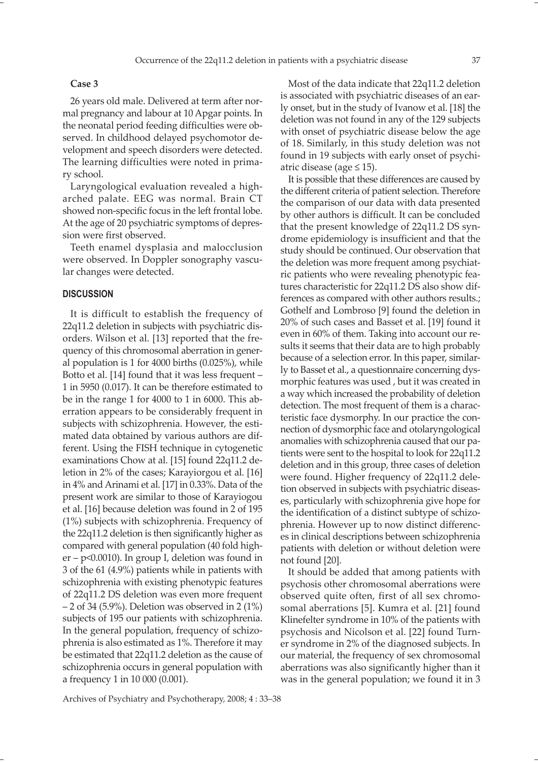#### **Case 3**

26 years old male. Delivered at term after normal pregnancy and labour at 10 Apgar points. In the neonatal period feeding difficulties were observed. In childhood delayed psychomotor development and speech disorders were detected. The learning difficulties were noted in primary school.

Laryngological evaluation revealed a higharched palate. EEG was normal. Brain CT showed non-specific focus in the left frontal lobe. At the age of 20 psychiatric symptoms of depression were first observed.

Teeth enamel dysplasia and malocclusion were observed. In Doppler sonography vascular changes were detected.

## **DISCUSSION**

It is difficult to establish the frequency of 22q11.2 deletion in subjects with psychiatric disorders. Wilson et al. [13] reported that the frequency of this chromosomal aberration in general population is 1 for 4000 births (0.025%), while Botto et al. [14] found that it was less frequent – 1 in 5950 (0.017). It can be therefore estimated to be in the range 1 for 4000 to 1 in 6000. This aberration appears to be considerably frequent in subjects with schizophrenia. However, the estimated data obtained by various authors are different. Using the FISH technique in cytogenetic examinations Chow at al. [15] found 22q11.2 deletion in 2% of the cases; Karayiorgou et al. [16] in 4% and Arinami et al. [17] in 0.33%. Data of the present work are similar to those of Karayiogou et al. [16] because deletion was found in 2 of 195 (1%) subjects with schizophrenia. Frequency of the 22q11.2 deletion is then significantly higher as compared with general population (40 fold higher – p<0.0010). In group I, deletion was found in 3 of the 61 (4.9%) patients while in patients with schizophrenia with existing phenotypic features of 22q11.2 DS deletion was even more frequent  $-2$  of 34 (5.9%). Deletion was observed in 2 (1%) subjects of 195 our patients with schizophrenia. In the general population, frequency of schizophrenia is also estimated as 1%. Therefore it may be estimated that 22q11.2 deletion as the cause of schizophrenia occurs in general population with a frequency 1 in 10 000 (0.001).

Most of the data indicate that 22q11.2 deletion is associated with psychiatric diseases of an early onset, but in the study of Ivanow et al. [18] the deletion was not found in any of the 129 subjects with onset of psychiatric disease below the age of 18. Similarly, in this study deletion was not found in 19 subjects with early onset of psychiatric disease (age  $\leq$  15).

It is possible that these differences are caused by the different criteria of patient selection. Therefore the comparison of our data with data presented by other authors is difficult. It can be concluded that the present knowledge of 22q11.2 DS syndrome epidemiology is insufficient and that the study should be continued. Our observation that the deletion was more frequent among psychiatric patients who were revealing phenotypic features characteristic for 22q11.2 DS also show differences as compared with other authors results.; Gothelf and Lombroso [9] found the deletion in 20% of such cases and Basset et al. [19] found it even in 60% of them. Taking into account our results it seems that their data are to high probably because of a selection error. In this paper, similarly to Basset et al., a questionnaire concerning dysmorphic features was used , but it was created in a way which increased the probability of deletion detection. The most frequent of them is a characteristic face dysmorphy. In our practice the connection of dysmorphic face and otolaryngological anomalies with schizophrenia caused that our patients were sent to the hospital to look for 22q11.2 deletion and in this group, three cases of deletion were found. Higher frequency of 22q11.2 deletion observed in subjects with psychiatric diseases, particularly with schizophrenia give hope for the identification of a distinct subtype of schizophrenia. However up to now distinct differences in clinical descriptions between schizophrenia patients with deletion or without deletion were not found [20].

It should be added that among patients with psychosis other chromosomal aberrations were observed quite often, first of all sex chromosomal aberrations [5]. Kumra et al. [21] found Klinefelter syndrome in 10% of the patients with psychosis and Nicolson et al. [22] found Turner syndrome in 2% of the diagnosed subjects. In our material, the frequency of sex chromosomal aberrations was also significantly higher than it was in the general population; we found it in 3